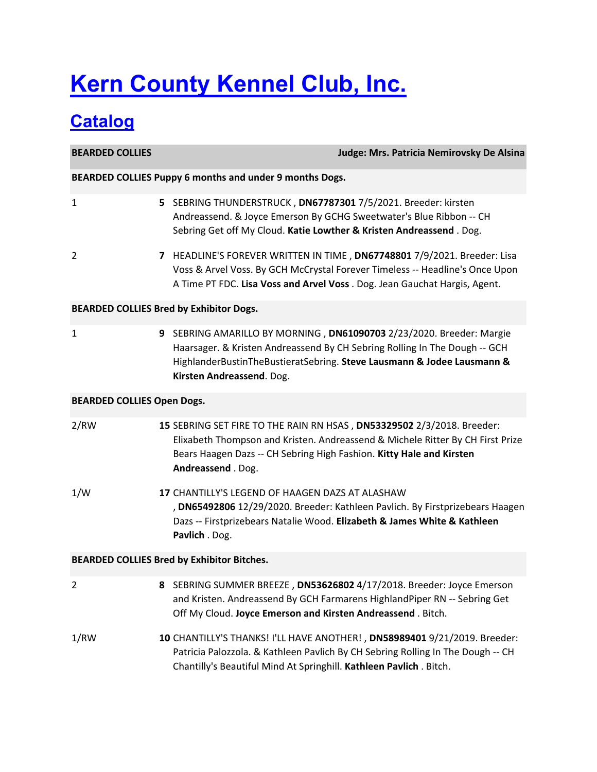# **Kern County Kennel Club, Inc.**

## **Catalog**

**BEARDED COLLIES Judge: Mrs. Patricia Nemirovsky De Alsina BEARDED COLLIES Puppy 6 months and under 9 months Dogs.** 1 **5** SEBRING THUNDERSTRUCK , **DN67787301** 7/5/2021. Breeder: kirsten Andreassend. & Joyce Emerson By GCHG Sweetwater's Blue Ribbon ‐‐ CH Sebring Get off My Cloud. **Katie Lowther & Kristen Andreassend** . Dog. 2 **7** HEADLINE'S FOREVER WRITTEN IN TIME , **DN67748801** 7/9/2021. Breeder: Lisa Voss & Arvel Voss. By GCH McCrystal Forever Timeless ‐‐ Headline's Once Upon A Time PT FDC. **Lisa Voss and Arvel Voss** . Dog. Jean Gauchat Hargis, Agent. **BEARDED COLLIES Bred by Exhibitor Dogs.** 1 **9** SEBRING AMARILLO BY MORNING , **DN61090703** 2/23/2020. Breeder: Margie Haarsager. & Kristen Andreassend By CH Sebring Rolling In The Dough ‐‐ GCH HighlanderBustinTheBustieratSebring. **Steve Lausmann & Jodee Lausmann & Kirsten Andreassend**. Dog. **BEARDED COLLIES Open Dogs.** 2/RW **15** SEBRING SET FIRE TO THE RAIN RN HSAS , **DN53329502** 2/3/2018. Breeder: Elixabeth Thompson and Kristen. Andreassend & Michele Ritter By CH First Prize Bears Haagen Dazs ‐‐ CH Sebring High Fashion. **Kitty Hale and Kirsten Andreassend** . Dog. 1/W **17** CHANTILLY'S LEGEND OF HAAGEN DAZS AT ALASHAW , **DN65492806** 12/29/2020. Breeder: Kathleen Pavlich. By Firstprizebears Haagen Dazs ‐‐ Firstprizebears Natalie Wood. **Elizabeth & James White & Kathleen Pavlich** . Dog. **BEARDED COLLIES Bred by Exhibitor Bitches.** 2 **8** SEBRING SUMMER BREEZE , **DN53626802** 4/17/2018. Breeder: Joyce Emerson and Kristen. Andreassend By GCH Farmarens HighlandPiper RN ‐‐ Sebring Get Off My Cloud. **Joyce Emerson and Kirsten Andreassend** . Bitch. 1/RW **10** CHANTILLY'S THANKS! I'LL HAVE ANOTHER! , **DN58989401** 9/21/2019. Breeder: Patricia Palozzola. & Kathleen Pavlich By CH Sebring Rolling In The Dough ‐‐ CH Chantilly's Beautiful Mind At Springhill. **Kathleen Pavlich** . Bitch.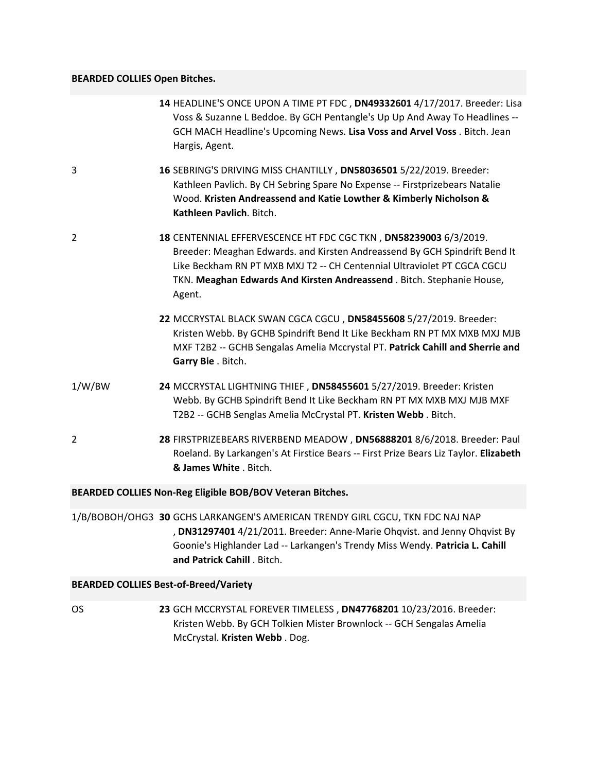### **BEARDED COLLIES Open Bitches.**

|        | 14 HEADLINE'S ONCE UPON A TIME PT FDC, DN49332601 4/17/2017. Breeder: Lisa<br>Voss & Suzanne L Beddoe. By GCH Pentangle's Up Up And Away To Headlines --<br>GCH MACH Headline's Upcoming News. Lisa Voss and Arvel Voss. Bitch. Jean<br>Hargis, Agent.                                                       |
|--------|--------------------------------------------------------------------------------------------------------------------------------------------------------------------------------------------------------------------------------------------------------------------------------------------------------------|
| 3      | 16 SEBRING'S DRIVING MISS CHANTILLY, DN58036501 5/22/2019. Breeder:<br>Kathleen Pavlich. By CH Sebring Spare No Expense -- Firstprizebears Natalie<br>Wood. Kristen Andreassend and Katie Lowther & Kimberly Nicholson &<br>Kathleen Pavlich. Bitch.                                                         |
| 2      | 18 CENTENNIAL EFFERVESCENCE HT FDC CGC TKN, DN58239003 6/3/2019.<br>Breeder: Meaghan Edwards. and Kirsten Andreassend By GCH Spindrift Bend It<br>Like Beckham RN PT MXB MXJ T2 -- CH Centennial Ultraviolet PT CGCA CGCU<br>TKN. Meaghan Edwards And Kirsten Andreassend. Bitch. Stephanie House,<br>Agent. |
|        | 22 MCCRYSTAL BLACK SWAN CGCA CGCU, DN58455608 5/27/2019. Breeder:<br>Kristen Webb. By GCHB Spindrift Bend It Like Beckham RN PT MX MXB MXJ MJB<br>MXF T2B2 -- GCHB Sengalas Amelia Mccrystal PT. Patrick Cahill and Sherrie and<br>Garry Bie . Bitch.                                                        |
| 1/W/BW | 24 MCCRYSTAL LIGHTNING THIEF, DN58455601 5/27/2019. Breeder: Kristen<br>Webb. By GCHB Spindrift Bend It Like Beckham RN PT MX MXB MXJ MJB MXF<br>T2B2 -- GCHB Senglas Amelia McCrystal PT. Kristen Webb. Bitch.                                                                                              |
| 2      | 28 FIRSTPRIZEBEARS RIVERBEND MEADOW, DN56888201 8/6/2018. Breeder: Paul<br>Roeland. By Larkangen's At Firstice Bears -- First Prize Bears Liz Taylor. Elizabeth<br>& James White, Bitch.                                                                                                                     |
|        | BEARDED COLLIES Non-Reg Eligible BOB/BOV Veteran Bitches.                                                                                                                                                                                                                                                    |
|        | 1/B/BOBOH/OHG3 30 GCHS LARKANGEN'S AMERICAN TRENDY GIRL CGCU, TKN FDC NAJ NAP<br>, DN31297401 4/21/2011. Breeder: Anne-Marie Ohqvist. and Jenny Ohqvist By<br>Goonie's Highlander Lad -- Larkangen's Trendy Miss Wendy. Patricia L. Cahill<br>and Patrick Cahill . Bitch.                                    |

### **BEARDED COLLIES Best‐of‐Breed/Variety**

OS **23** GCH MCCRYSTAL FOREVER TIMELESS , **DN47768201** 10/23/2016. Breeder: Kristen Webb. By GCH Tolkien Mister Brownlock ‐‐ GCH Sengalas Amelia McCrystal. **Kristen Webb** . Dog.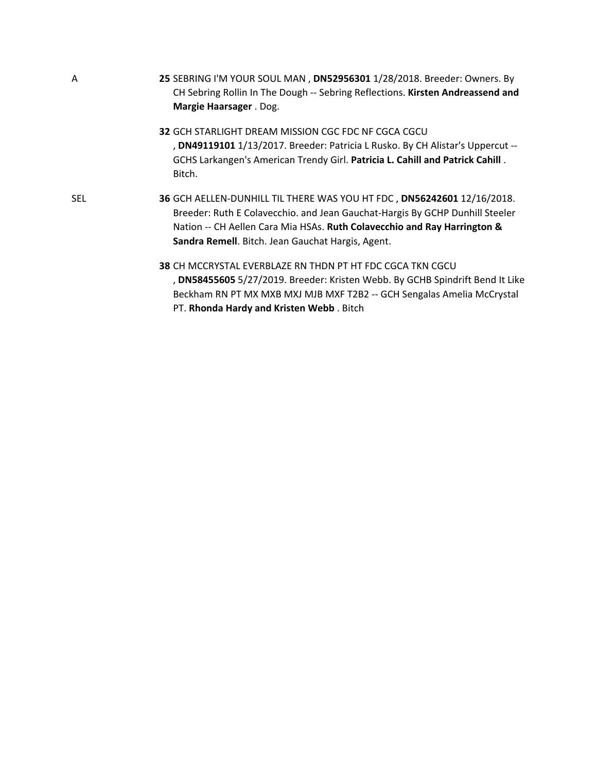**25** SEBRING I'M YOUR SOUL MAN , **DN52956301** 1/28/2018. Breeder: Owners. By CH Sebring Rollin In The Dough ‐‐ Sebring Reflections. **Kirsten Andreassend and Margie Haarsager** . Dog.

A

SEL

**32** GCH STARLIGHT DREAM MISSION CGC FDC NF CGCA CGCU , **DN49119101** 1/13/2017. Breeder: Patricia L Rusko. By CH Alistar's Uppercut ‐‐ GCHS Larkangen's American Trendy Girl. **Patricia L. Cahill and Patrick Cahill** . Bitch.

**36** GCH AELLEN‐DUNHILL TIL THERE WAS YOU HT FDC , **DN56242601** 12/16/2018. Breeder: Ruth E Colavecchio. and Jean Gauchat‐Hargis By GCHP Dunhill Steeler Nation ‐‐ CH Aellen Cara Mia HSAs. **Ruth Colavecchio and Ray Harrington & Sandra Remell**. Bitch. Jean Gauchat Hargis, Agent.

> **38** CH MCCRYSTAL EVERBLAZE RN THDN PT HT FDC CGCA TKN CGCU , **DN58455605** 5/27/2019. Breeder: Kristen Webb. By GCHB Spindrift Bend It Like Beckham RN PT MX MXB MXJ MJB MXF T2B2 ‐‐ GCH Sengalas Amelia McCrystal PT. **Rhonda Hardy and Kristen Webb** . Bitch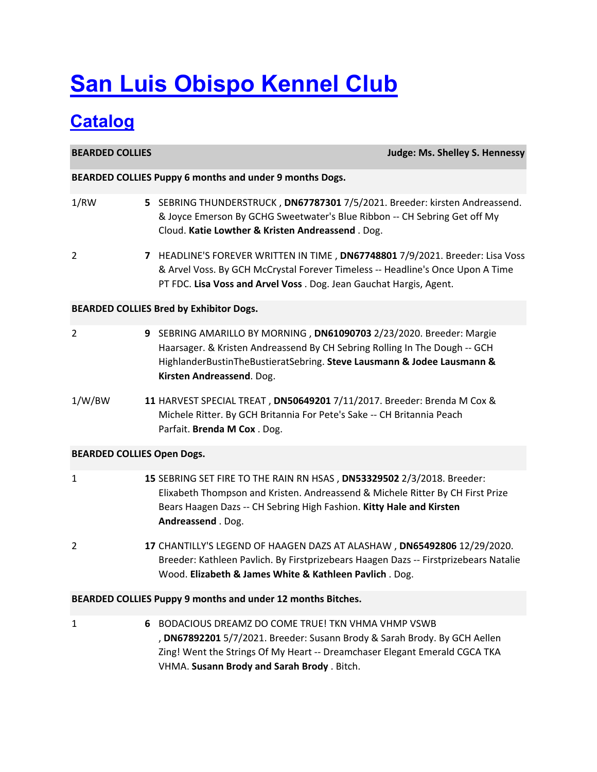# **San Luis Obispo Kennel Club**

## **Catalog**

**BEARDED COLLIES Judge: Ms. Shelley S. Hennessy BEARDED COLLIES Puppy 6 months and under 9 months Dogs.** 1/RW **5** SEBRING THUNDERSTRUCK , **DN67787301** 7/5/2021. Breeder: kirsten Andreassend. & Joyce Emerson By GCHG Sweetwater's Blue Ribbon ‐‐ CH Sebring Get off My Cloud. **Katie Lowther & Kristen Andreassend** . Dog. 2 **7** HEADLINE'S FOREVER WRITTEN IN TIME , **DN67748801** 7/9/2021. Breeder: Lisa Voss & Arvel Voss. By GCH McCrystal Forever Timeless ‐‐ Headline's Once Upon A Time PT FDC. **Lisa Voss and Arvel Voss** . Dog. Jean Gauchat Hargis, Agent. **BEARDED COLLIES Bred by Exhibitor Dogs.** 2 **9** SEBRING AMARILLO BY MORNING , **DN61090703** 2/23/2020. Breeder: Margie Haarsager. & Kristen Andreassend By CH Sebring Rolling In The Dough ‐‐ GCH HighlanderBustinTheBustieratSebring. **Steve Lausmann & Jodee Lausmann & Kirsten Andreassend**. Dog. 1/W/BW **11** HARVEST SPECIAL TREAT , **DN50649201** 7/11/2017. Breeder: Brenda M Cox & Michele Ritter. By GCH Britannia For Pete's Sake ‐‐ CH Britannia Peach Parfait. **Brenda M Cox** . Dog. **BEARDED COLLIES Open Dogs.** 1 **15** SEBRING SET FIRE TO THE RAIN RN HSAS , **DN53329502** 2/3/2018. Breeder: Elixabeth Thompson and Kristen. Andreassend & Michele Ritter By CH First Prize Bears Haagen Dazs ‐‐ CH Sebring High Fashion. **Kitty Hale and Kirsten Andreassend** . Dog. 2 **17** CHANTILLY'S LEGEND OF HAAGEN DAZS AT ALASHAW , **DN65492806** 12/29/2020. Breeder: Kathleen Pavlich. By Firstprizebears Haagen Dazs ‐‐ Firstprizebears Natalie Wood. **Elizabeth & James White & Kathleen Pavlich** . Dog. **BEARDED COLLIES Puppy 9 months and under 12 months Bitches.** 1 **6** BODACIOUS DREAMZ DO COME TRUE! TKN VHMA VHMP VSWB , **DN67892201** 5/7/2021. Breeder: Susann Brody & Sarah Brody. By GCH Aellen Zing! Went the Strings Of My Heart ‐‐ Dreamchaser Elegant Emerald CGCA TKA VHMA. **Susann Brody and Sarah Brody** . Bitch.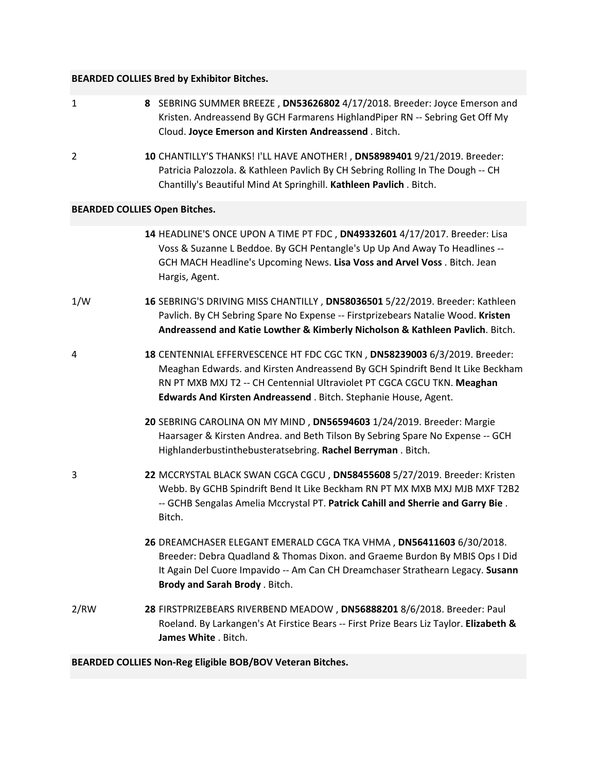### **BEARDED COLLIES Bred by Exhibitor Bitches.**

| $\mathbf{1}$ | 8 SEBRING SUMMER BREEZE, DN53626802 4/17/2018. Breeder: Joyce Emerson and<br>Kristen. Andreassend By GCH Farmarens HighlandPiper RN -- Sebring Get Off My<br>Cloud. Joyce Emerson and Kirsten Andreassend. Bitch.                                                                                          |
|--------------|------------------------------------------------------------------------------------------------------------------------------------------------------------------------------------------------------------------------------------------------------------------------------------------------------------|
| 2            | 10 CHANTILLY'S THANKS! I'LL HAVE ANOTHER!, DN58989401 9/21/2019. Breeder:<br>Patricia Palozzola. & Kathleen Pavlich By CH Sebring Rolling In The Dough -- CH<br>Chantilly's Beautiful Mind At Springhill. Kathleen Pavlich. Bitch.                                                                         |
|              | <b>BEARDED COLLIES Open Bitches.</b>                                                                                                                                                                                                                                                                       |
|              | 14 HEADLINE'S ONCE UPON A TIME PT FDC, DN49332601 4/17/2017. Breeder: Lisa<br>Voss & Suzanne L Beddoe. By GCH Pentangle's Up Up And Away To Headlines --<br>GCH MACH Headline's Upcoming News. Lisa Voss and Arvel Voss . Bitch. Jean<br>Hargis, Agent.                                                    |
| 1/W          | 16 SEBRING'S DRIVING MISS CHANTILLY, DN58036501 5/22/2019. Breeder: Kathleen<br>Pavlich. By CH Sebring Spare No Expense -- Firstprizebears Natalie Wood. Kristen<br>Andreassend and Katie Lowther & Kimberly Nicholson & Kathleen Pavlich. Bitch.                                                          |
| 4            | 18 CENTENNIAL EFFERVESCENCE HT FDC CGC TKN, DN58239003 6/3/2019. Breeder:<br>Meaghan Edwards. and Kirsten Andreassend By GCH Spindrift Bend It Like Beckham<br>RN PT MXB MXJ T2 -- CH Centennial Ultraviolet PT CGCA CGCU TKN. Meaghan<br>Edwards And Kirsten Andreassend . Bitch. Stephanie House, Agent. |
|              | 20 SEBRING CAROLINA ON MY MIND, DN56594603 1/24/2019. Breeder: Margie<br>Haarsager & Kirsten Andrea. and Beth Tilson By Sebring Spare No Expense -- GCH<br>Highlanderbustinthebusteratsebring. Rachel Berryman. Bitch.                                                                                     |
| 3            | 22 MCCRYSTAL BLACK SWAN CGCA CGCU, DN58455608 5/27/2019. Breeder: Kristen<br>Webb. By GCHB Spindrift Bend It Like Beckham RN PT MX MXB MXJ MJB MXF T2B2<br>-- GCHB Sengalas Amelia Mccrystal PT. Patrick Cahill and Sherrie and Garry Bie.<br>Bitch.                                                       |
|              | 26 DREAMCHASER ELEGANT EMERALD CGCA TKA VHMA, DN56411603 6/30/2018.<br>Breeder: Debra Quadland & Thomas Dixon. and Graeme Burdon By MBIS Ops I Did<br>It Again Del Cuore Impavido -- Am Can CH Dreamchaser Strathearn Legacy. Susann<br>Brody and Sarah Brody . Bitch.                                     |
| 2/RW         | 28 FIRSTPRIZEBEARS RIVERBEND MEADOW, DN56888201 8/6/2018. Breeder: Paul<br>Roeland. By Larkangen's At Firstice Bears -- First Prize Bears Liz Taylor. Elizabeth &<br>James White . Bitch.                                                                                                                  |

**BEARDED COLLIES Non‐Reg Eligible BOB/BOV Veteran Bitches.**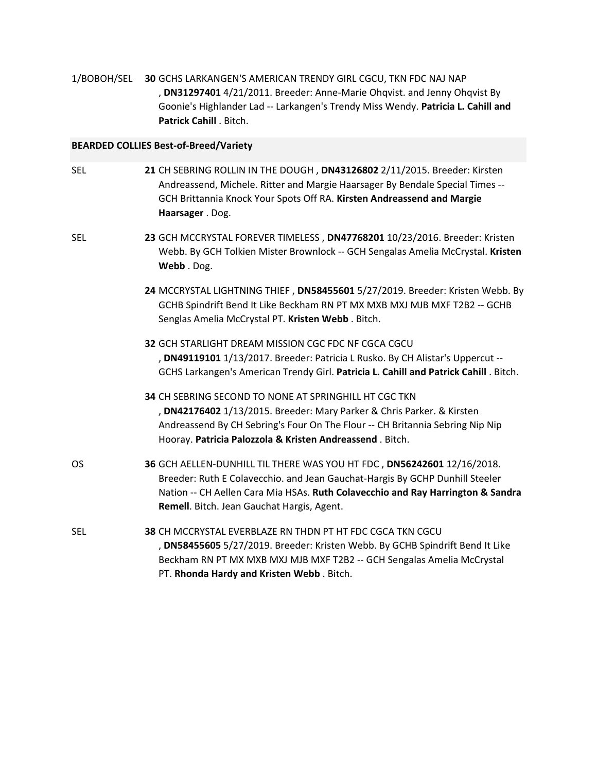1/BOBOH/SEL **30** GCHS LARKANGEN'S AMERICAN TRENDY GIRL CGCU, TKN FDC NAJ NAP , **DN31297401** 4/21/2011. Breeder: Anne‐Marie Ohqvist. and Jenny Ohqvist By Goonie's Highlander Lad ‐‐ Larkangen's Trendy Miss Wendy. **Patricia L. Cahill and Patrick Cahill** . Bitch.

### **BEARDED COLLIES Best‐of‐Breed/Variety**

| SEL | 21 CH SEBRING ROLLIN IN THE DOUGH, DN43126802 2/11/2015. Breeder: Kirsten<br>Andreassend, Michele. Ritter and Margie Haarsager By Bendale Special Times --<br>GCH Brittannia Knock Your Spots Off RA. Kirsten Andreassend and Margie<br>Haarsager . Dog.                                |
|-----|-----------------------------------------------------------------------------------------------------------------------------------------------------------------------------------------------------------------------------------------------------------------------------------------|
| SEL | 23 GCH MCCRYSTAL FOREVER TIMELESS, DN47768201 10/23/2016. Breeder: Kristen<br>Webb. By GCH Tolkien Mister Brownlock -- GCH Sengalas Amelia McCrystal. Kristen<br>Webb. Dog.                                                                                                             |
|     | 24 MCCRYSTAL LIGHTNING THIEF, DN58455601 5/27/2019. Breeder: Kristen Webb. By<br>GCHB Spindrift Bend It Like Beckham RN PT MX MXB MXJ MJB MXF T2B2 -- GCHB<br>Senglas Amelia McCrystal PT. Kristen Webb. Bitch.                                                                         |
|     | 32 GCH STARLIGHT DREAM MISSION CGC FDC NF CGCA CGCU<br>, DN49119101 1/13/2017. Breeder: Patricia L Rusko. By CH Alistar's Uppercut --<br>GCHS Larkangen's American Trendy Girl. Patricia L. Cahill and Patrick Cahill. Bitch.                                                           |
|     | <b>34 CH SEBRING SECOND TO NONE AT SPRINGHILL HT CGC TKN</b><br>, DN42176402 1/13/2015. Breeder: Mary Parker & Chris Parker. & Kirsten<br>Andreassend By CH Sebring's Four On The Flour -- CH Britannia Sebring Nip Nip<br>Hooray. Patricia Palozzola & Kristen Andreassend. Bitch.     |
| OS  | 36 GCH AELLEN-DUNHILL TIL THERE WAS YOU HT FDC, DN56242601 12/16/2018.<br>Breeder: Ruth E Colavecchio. and Jean Gauchat-Hargis By GCHP Dunhill Steeler<br>Nation -- CH Aellen Cara Mia HSAs. Ruth Colavecchio and Ray Harrington & Sandra<br>Remell. Bitch. Jean Gauchat Hargis, Agent. |
| SEL | 38 CH MCCRYSTAL EVERBLAZE RN THDN PT HT FDC CGCA TKN CGCU<br>, DN58455605 5/27/2019. Breeder: Kristen Webb. By GCHB Spindrift Bend It Like<br>Beckham RN PT MX MXB MXJ MJB MXF T2B2 -- GCH Sengalas Amelia McCrystal<br>PT. Rhonda Hardy and Kristen Webb. Bitch.                       |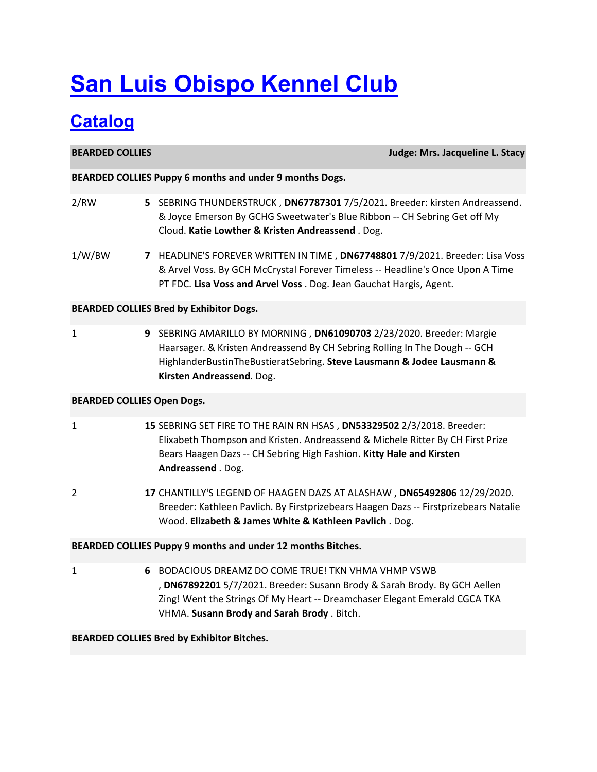# **San Luis Obispo Kennel Club**

## **Catalog**

**BEARDED COLLIES Judge: Mrs. Jacqueline L. Stacy BEARDED COLLIES Puppy 6 months and under 9 months Dogs.** 2/RW **5** SEBRING THUNDERSTRUCK , **DN67787301** 7/5/2021. Breeder: kirsten Andreassend. & Joyce Emerson By GCHG Sweetwater's Blue Ribbon ‐‐ CH Sebring Get off My Cloud. **Katie Lowther & Kristen Andreassend** . Dog. 1/W/BW **7** HEADLINE'S FOREVER WRITTEN IN TIME , **DN67748801** 7/9/2021. Breeder: Lisa Voss & Arvel Voss. By GCH McCrystal Forever Timeless ‐‐ Headline's Once Upon A Time PT FDC. **Lisa Voss and Arvel Voss** . Dog. Jean Gauchat Hargis, Agent. **BEARDED COLLIES Bred by Exhibitor Dogs.** 1 **9** SEBRING AMARILLO BY MORNING , **DN61090703** 2/23/2020. Breeder: Margie Haarsager. & Kristen Andreassend By CH Sebring Rolling In The Dough ‐‐ GCH HighlanderBustinTheBustieratSebring. **Steve Lausmann & Jodee Lausmann & Kirsten Andreassend**. Dog. **BEARDED COLLIES Open Dogs.** 1 **15** SEBRING SET FIRE TO THE RAIN RN HSAS , **DN53329502** 2/3/2018. Breeder: Elixabeth Thompson and Kristen. Andreassend & Michele Ritter By CH First Prize Bears Haagen Dazs ‐‐ CH Sebring High Fashion. **Kitty Hale and Kirsten Andreassend** . Dog. 2 **17** CHANTILLY'S LEGEND OF HAAGEN DAZS AT ALASHAW , **DN65492806** 12/29/2020. Breeder: Kathleen Pavlich. By Firstprizebears Haagen Dazs ‐‐ Firstprizebears Natalie Wood. **Elizabeth & James White & Kathleen Pavlich** . Dog. **BEARDED COLLIES Puppy 9 months and under 12 months Bitches.** 1 **6** BODACIOUS DREAMZ DO COME TRUE! TKN VHMA VHMP VSWB , **DN67892201** 5/7/2021. Breeder: Susann Brody & Sarah Brody. By GCH Aellen Zing! Went the Strings Of My Heart ‐‐ Dreamchaser Elegant Emerald CGCA TKA VHMA. **Susann Brody and Sarah Brody** . Bitch.

### **BEARDED COLLIES Bred by Exhibitor Bitches.**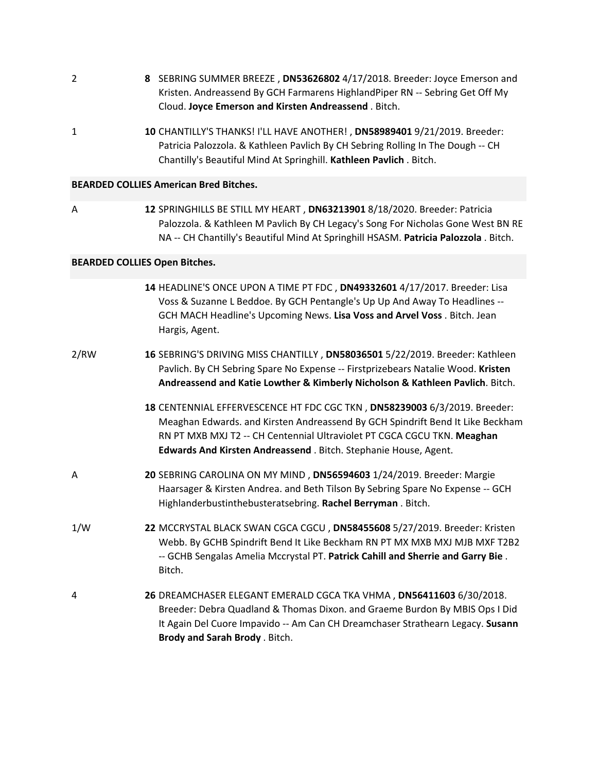- **8** SEBRING SUMMER BREEZE , **DN53626802** 4/17/2018. Breeder: Joyce Emerson and Kristen. Andreassend By GCH Farmarens HighlandPiper RN ‐‐ Sebring Get Off My Cloud. **Joyce Emerson and Kirsten Andreassend** . Bitch.
- 1 **10** CHANTILLY'S THANKS! I'LL HAVE ANOTHER! , **DN58989401** 9/21/2019. Breeder: Patricia Palozzola. & Kathleen Pavlich By CH Sebring Rolling In The Dough ‐‐ CH Chantilly's Beautiful Mind At Springhill. **Kathleen Pavlich** . Bitch.

#### **BEARDED COLLIES American Bred Bitches.**

A

2

**12** SPRINGHILLS BE STILL MY HEART , **DN63213901** 8/18/2020. Breeder: Patricia Palozzola. & Kathleen M Pavlich By CH Legacy's Song For Nicholas Gone West BN RE NA ‐‐ CH Chantilly's Beautiful Mind At Springhill HSASM. **Patricia Palozzola** . Bitch.

#### **BEARDED COLLIES Open Bitches.**

|      | 14 HEADLINE'S ONCE UPON A TIME PT FDC, DN49332601 4/17/2017. Breeder: Lisa<br>Voss & Suzanne L Beddoe. By GCH Pentangle's Up Up And Away To Headlines --<br>GCH MACH Headline's Upcoming News. Lisa Voss and Arvel Voss . Bitch. Jean<br>Hargis, Agent.                                                    |
|------|------------------------------------------------------------------------------------------------------------------------------------------------------------------------------------------------------------------------------------------------------------------------------------------------------------|
| 2/RW | 16 SEBRING'S DRIVING MISS CHANTILLY, DN58036501 5/22/2019. Breeder: Kathleen<br>Pavlich. By CH Sebring Spare No Expense -- Firstprizebears Natalie Wood. Kristen<br>Andreassend and Katie Lowther & Kimberly Nicholson & Kathleen Pavlich. Bitch.                                                          |
|      | 18 CENTENNIAL EFFERVESCENCE HT FDC CGC TKN, DN58239003 6/3/2019. Breeder:<br>Meaghan Edwards. and Kirsten Andreassend By GCH Spindrift Bend It Like Beckham<br>RN PT MXB MXJ T2 -- CH Centennial Ultraviolet PT CGCA CGCU TKN. Meaghan<br>Edwards And Kirsten Andreassend . Bitch. Stephanie House, Agent. |
| Α    | 20 SEBRING CAROLINA ON MY MIND, DN56594603 1/24/2019. Breeder: Margie<br>Haarsager & Kirsten Andrea. and Beth Tilson By Sebring Spare No Expense -- GCH<br>Highlanderbustinthebusteratsebring. Rachel Berryman. Bitch.                                                                                     |
| 1/W  | 22 MCCRYSTAL BLACK SWAN CGCA CGCU, DN58455608 5/27/2019. Breeder: Kristen<br>Webb. By GCHB Spindrift Bend It Like Beckham RN PT MX MXB MXJ MJB MXF T2B2<br>-- GCHB Sengalas Amelia Mccrystal PT. Patrick Cahill and Sherrie and Garry Bie.<br>Bitch.                                                       |
| 4    | 26 DREAMCHASER ELEGANT EMERALD CGCA TKA VHMA, DN56411603 6/30/2018.<br>Breeder: Debra Quadland & Thomas Dixon. and Graeme Burdon By MBIS Ops I Did<br>It Again Del Cuore Impavido -- Am Can CH Dreamchaser Strathearn Legacy. Susann<br>Brody and Sarah Brody . Bitch.                                     |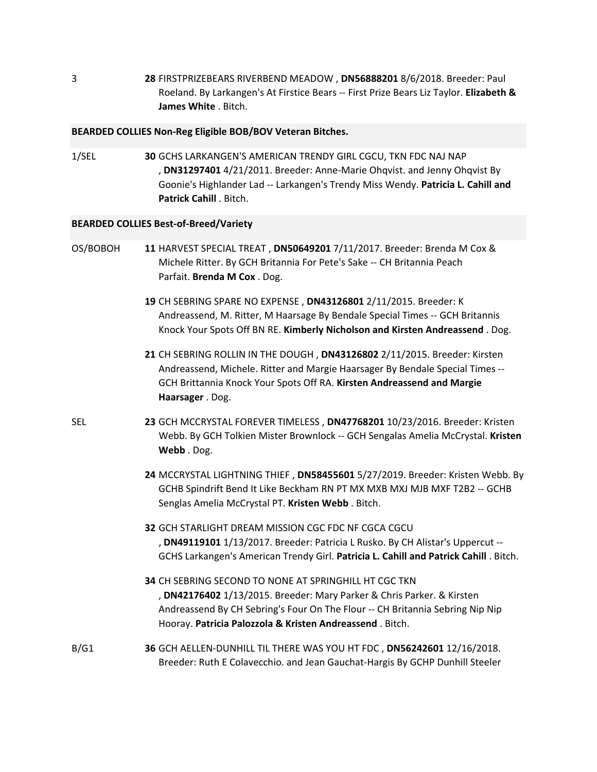**28** FIRSTPRIZEBEARS RIVERBEND MEADOW , **DN56888201** 8/6/2018. Breeder: Paul Roeland. By Larkangen's At Firstice Bears ‐‐ First Prize Bears Liz Taylor. **Elizabeth & James White** . Bitch.

#### **BEARDED COLLIES Non‐Reg Eligible BOB/BOV Veteran Bitches.**

1/SEL **30** GCHS LARKANGEN'S AMERICAN TRENDY GIRL CGCU, TKN FDC NAJ NAP , **DN31297401** 4/21/2011. Breeder: Anne‐Marie Ohqvist. and Jenny Ohqvist By Goonie's Highlander Lad ‐‐ Larkangen's Trendy Miss Wendy. **Patricia L. Cahill and Patrick Cahill** . Bitch.

#### **BEARDED COLLIES Best‐of‐Breed/Variety**

3

| OS/BOBOH   | 11 HARVEST SPECIAL TREAT, DN50649201 7/11/2017. Breeder: Brenda M Cox &<br>Michele Ritter. By GCH Britannia For Pete's Sake -- CH Britannia Peach<br>Parfait. Brenda M Cox. Dog.                                                                                             |
|------------|------------------------------------------------------------------------------------------------------------------------------------------------------------------------------------------------------------------------------------------------------------------------------|
|            | 19 CH SEBRING SPARE NO EXPENSE, DN43126801 2/11/2015. Breeder: K<br>Andreassend, M. Ritter, M Haarsage By Bendale Special Times -- GCH Britannis<br>Knock Your Spots Off BN RE. Kimberly Nicholson and Kirsten Andreassend. Dog.                                             |
|            | 21 CH SEBRING ROLLIN IN THE DOUGH, DN43126802 2/11/2015. Breeder: Kirsten<br>Andreassend, Michele. Ritter and Margie Haarsager By Bendale Special Times --<br>GCH Brittannia Knock Your Spots Off RA. Kirsten Andreassend and Margie<br>Haarsager . Dog.                     |
| <b>SEL</b> | 23 GCH MCCRYSTAL FOREVER TIMELESS, DN47768201 10/23/2016. Breeder: Kristen<br>Webb. By GCH Tolkien Mister Brownlock -- GCH Sengalas Amelia McCrystal. Kristen<br>Webb. Dog.                                                                                                  |
|            | 24 MCCRYSTAL LIGHTNING THIEF, DN58455601 5/27/2019. Breeder: Kristen Webb. By<br>GCHB Spindrift Bend It Like Beckham RN PT MX MXB MXJ MJB MXF T2B2 -- GCHB<br>Senglas Amelia McCrystal PT. Kristen Webb. Bitch.                                                              |
|            | 32 GCH STARLIGHT DREAM MISSION CGC FDC NF CGCA CGCU<br>, DN49119101 1/13/2017. Breeder: Patricia L Rusko. By CH Alistar's Uppercut --<br>GCHS Larkangen's American Trendy Girl. Patricia L. Cahill and Patrick Cahill. Bitch.                                                |
|            | 34 CH SEBRING SECOND TO NONE AT SPRINGHILL HT CGC TKN<br>, DN42176402 1/13/2015. Breeder: Mary Parker & Chris Parker. & Kirsten<br>Andreassend By CH Sebring's Four On The Flour -- CH Britannia Sebring Nip Nip<br>Hooray. Patricia Palozzola & Kristen Andreassend. Bitch. |
| B/G1       | 36 GCH AELLEN-DUNHILL TIL THERE WAS YOU HT FDC, DN56242601 12/16/2018.<br>Breeder: Ruth E Colavecchio. and Jean Gauchat-Hargis By GCHP Dunhill Steeler                                                                                                                       |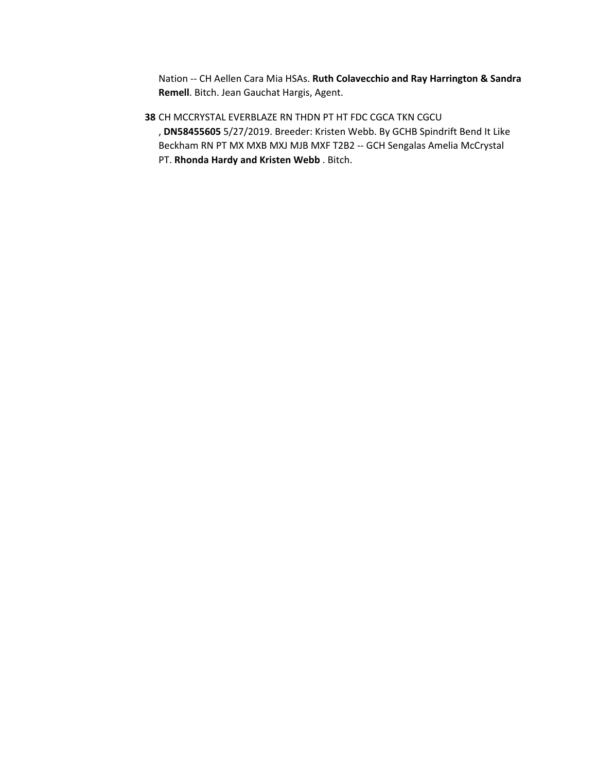Nation ‐‐ CH Aellen Cara Mia HSAs. **Ruth Colavecchio and Ray Harrington & Sandra Remell**. Bitch. Jean Gauchat Hargis, Agent.

**38** CH MCCRYSTAL EVERBLAZE RN THDN PT HT FDC CGCA TKN CGCU , **DN58455605** 5/27/2019. Breeder: Kristen Webb. By GCHB Spindrift Bend It Like Beckham RN PT MX MXB MXJ MJB MXF T2B2 ‐‐ GCH Sengalas Amelia McCrystal PT. **Rhonda Hardy and Kristen Webb** . Bitch.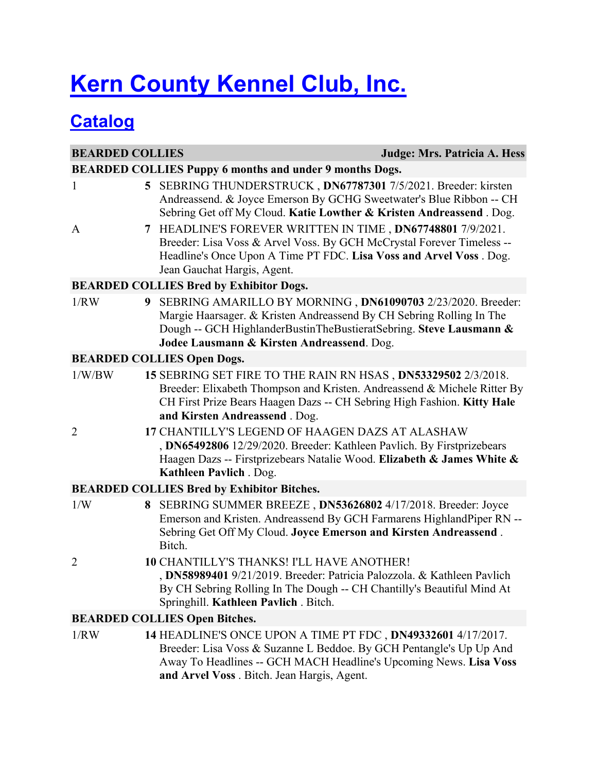# **Kern County Kennel Club, Inc.**

## **Catalog**

| <b>BEARDED COLLIES</b> |   | <b>Judge: Mrs. Patricia A. Hess</b>                                                                                                                                                                                                                     |
|------------------------|---|---------------------------------------------------------------------------------------------------------------------------------------------------------------------------------------------------------------------------------------------------------|
|                        |   | <b>BEARDED COLLIES Puppy 6 months and under 9 months Dogs.</b>                                                                                                                                                                                          |
| $\mathbf{1}$           | 5 | SEBRING THUNDERSTRUCK, DN67787301 7/5/2021. Breeder: kirsten<br>Andreassend. & Joyce Emerson By GCHG Sweetwater's Blue Ribbon -- CH<br>Sebring Get off My Cloud. Katie Lowther & Kristen Andreassend. Dog.                                              |
| A                      | 7 | HEADLINE'S FOREVER WRITTEN IN TIME, DN67748801 7/9/2021.<br>Breeder: Lisa Voss & Arvel Voss. By GCH McCrystal Forever Timeless --<br>Headline's Once Upon A Time PT FDC. Lisa Voss and Arvel Voss. Dog.<br>Jean Gauchat Hargis, Agent.                  |
|                        |   | <b>BEARDED COLLIES Bred by Exhibitor Dogs.</b>                                                                                                                                                                                                          |
| 1/RW                   | 9 | SEBRING AMARILLO BY MORNING, DN61090703 2/23/2020. Breeder:<br>Margie Haarsager. & Kristen Andreassend By CH Sebring Rolling In The<br>Dough -- GCH HighlanderBustinTheBustieratSebring. Steve Lausmann &<br>Jodee Lausmann & Kirsten Andreassend. Dog. |
|                        |   | <b>BEARDED COLLIES Open Dogs.</b>                                                                                                                                                                                                                       |
| 1/W/BW                 |   | 15 SEBRING SET FIRE TO THE RAIN RN HSAS, DN53329502 2/3/2018.<br>Breeder: Elixabeth Thompson and Kristen. Andreassend & Michele Ritter By<br>CH First Prize Bears Haagen Dazs -- CH Sebring High Fashion. Kitty Hale<br>and Kirsten Andreassend. Dog.   |
| 2                      |   | 17 CHANTILLY'S LEGEND OF HAAGEN DAZS AT ALASHAW<br>, DN65492806 12/29/2020. Breeder: Kathleen Pavlich. By Firstprizebears<br>Haagen Dazs -- Firstprizebears Natalie Wood. Elizabeth & James White &<br>Kathleen Pavlich . Dog.                          |
|                        |   | <b>BEARDED COLLIES Bred by Exhibitor Bitches.</b>                                                                                                                                                                                                       |
| 1/W                    | 8 | SEBRING SUMMER BREEZE, DN53626802 4/17/2018. Breeder: Joyce<br>Emerson and Kristen. Andreassend By GCH Farmarens HighlandPiper RN --<br>Sebring Get Off My Cloud. Joyce Emerson and Kirsten Andreassend.<br>Bitch.                                      |
| 2                      |   | <b>10 CHANTILLY'S THANKS! I'LL HAVE ANOTHER!</b><br>, DN58989401 9/21/2019. Breeder: Patricia Palozzola. & Kathleen Pavlich<br>By CH Sebring Rolling In The Dough -- CH Chantilly's Beautiful Mind At<br>Springhill. Kathleen Pavlich. Bitch.           |
|                        |   | <b>BEARDED COLLIES Open Bitches.</b>                                                                                                                                                                                                                    |
| 1/RW                   |   | 14 HEADLINE'S ONCE UPON A TIME PT FDC, DN49332601 4/17/2017.<br>Breeder: Lisa Voss & Suzanne L Beddoe. By GCH Pentangle's Up Up And<br>Away To Headlines -- GCH MACH Headline's Upcoming News. Lisa Voss<br>and Arvel Voss . Bitch. Jean Hargis, Agent. |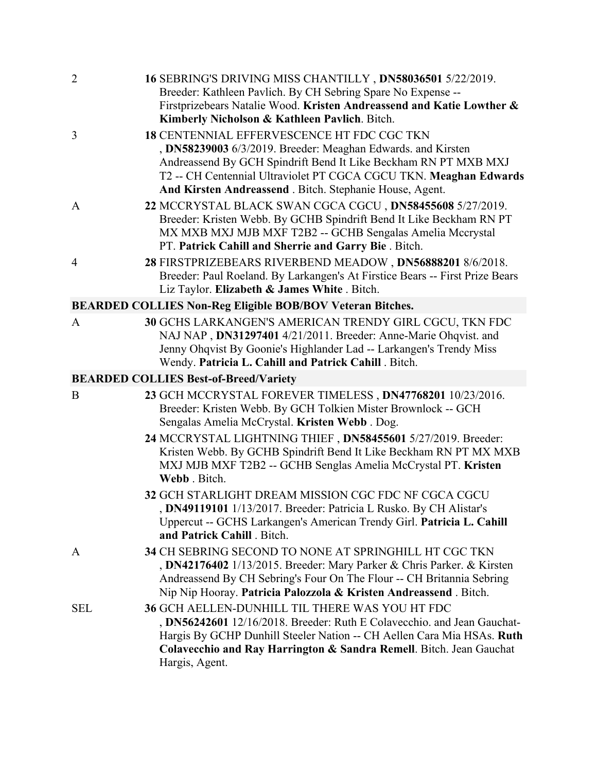| $\overline{2}$ | 16 SEBRING'S DRIVING MISS CHANTILLY, DN58036501 5/22/2019.<br>Breeder: Kathleen Pavlich. By CH Sebring Spare No Expense --<br>Firstprizebears Natalie Wood. Kristen Andreassend and Katie Lowther &<br>Kimberly Nicholson & Kathleen Pavlich. Bitch.                                                                  |
|----------------|-----------------------------------------------------------------------------------------------------------------------------------------------------------------------------------------------------------------------------------------------------------------------------------------------------------------------|
| 3              | <b>18 CENTENNIAL EFFERVESCENCE HT FDC CGC TKN</b><br>, DN58239003 6/3/2019. Breeder: Meaghan Edwards. and Kirsten<br>Andreassend By GCH Spindrift Bend It Like Beckham RN PT MXB MXJ<br>T2 -- CH Centennial Ultraviolet PT CGCA CGCU TKN. Meaghan Edwards<br>And Kirsten Andreassend . Bitch. Stephanie House, Agent. |
| $\mathbf{A}$   | 22 MCCRYSTAL BLACK SWAN CGCA CGCU, DN58455608 5/27/2019.<br>Breeder: Kristen Webb. By GCHB Spindrift Bend It Like Beckham RN PT<br>MX MXB MXJ MJB MXF T2B2 -- GCHB Sengalas Amelia Mccrystal<br>PT. Patrick Cahill and Sherrie and Garry Bie. Bitch.                                                                  |
| $\overline{4}$ | 28 FIRSTPRIZEBEARS RIVERBEND MEADOW, DN56888201 8/6/2018.<br>Breeder: Paul Roeland. By Larkangen's At Firstice Bears -- First Prize Bears<br>Liz Taylor. Elizabeth & James White . Bitch.                                                                                                                             |
|                | BEARDED COLLIES Non-Reg Eligible BOB/BOV Veteran Bitches.                                                                                                                                                                                                                                                             |
| A              | 30 GCHS LARKANGEN'S AMERICAN TRENDY GIRL CGCU, TKN FDC<br>NAJ NAP, DN31297401 4/21/2011. Breeder: Anne-Marie Ohqvist. and<br>Jenny Ohqvist By Goonie's Highlander Lad -- Larkangen's Trendy Miss<br>Wendy. Patricia L. Cahill and Patrick Cahill . Bitch.                                                             |
|                | <b>BEARDED COLLIES Best-of-Breed/Variety</b>                                                                                                                                                                                                                                                                          |
| B              | 23 GCH MCCRYSTAL FOREVER TIMELESS, DN47768201 10/23/2016.<br>Breeder: Kristen Webb. By GCH Tolkien Mister Brownlock -- GCH<br>Sengalas Amelia McCrystal. Kristen Webb. Dog.                                                                                                                                           |
|                | 24 MCCRYSTAL LIGHTNING THIEF, DN58455601 5/27/2019. Breeder:<br>Kristen Webb. By GCHB Spindrift Bend It Like Beckham RN PT MX MXB<br>MXJ MJB MXF T2B2 -- GCHB Senglas Amelia McCrystal PT. Kristen<br>Webb. Bitch.                                                                                                    |
|                | 32 GCH STARLIGHT DREAM MISSION CGC FDC NF CGCA CGCU<br>, DN49119101 1/13/2017. Breeder: Patricia L Rusko. By CH Alistar's<br>Uppercut -- GCHS Larkangen's American Trendy Girl. Patricia L. Cahill<br>and Patrick Cahill . Bitch.                                                                                     |
| A              | 34 CH SEBRING SECOND TO NONE AT SPRINGHILL HT CGC TKN<br>, DN42176402 1/13/2015. Breeder: Mary Parker & Chris Parker. & Kirsten<br>Andreassend By CH Sebring's Four On The Flour -- CH Britannia Sebring<br>Nip Nip Hooray. Patricia Palozzola & Kristen Andreassend. Bitch.                                          |
| <b>SEL</b>     | 36 GCH AELLEN-DUNHILL TIL THERE WAS YOU HT FDC<br>, DN56242601 12/16/2018. Breeder: Ruth E Colavecchio. and Jean Gauchat-<br>Hargis By GCHP Dunhill Steeler Nation -- CH Aellen Cara Mia HSAs. Ruth<br>Colavecchio and Ray Harrington & Sandra Remell. Bitch. Jean Gauchat<br>Hargis, Agent.                          |